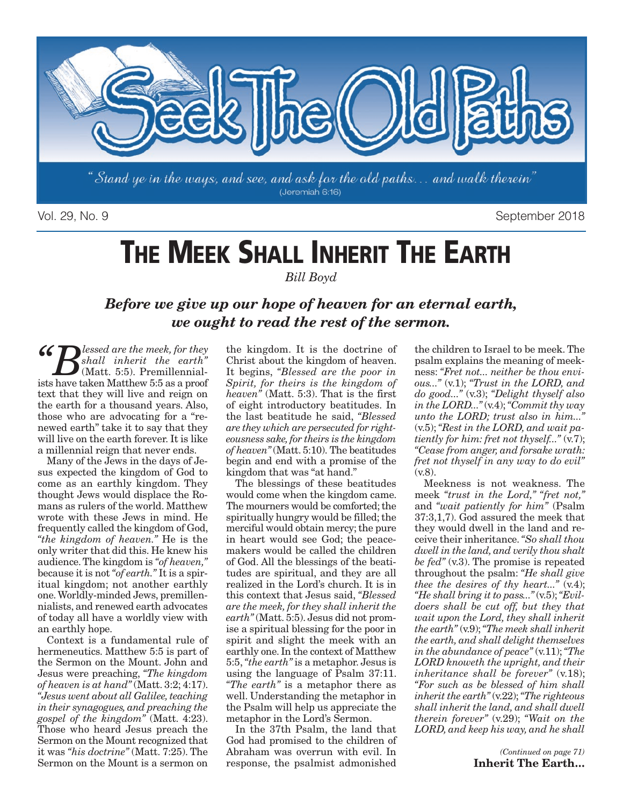

Vol. 29, No. 9 September 2018

# **THE MEEK SHALL INHERIT THE EARTH**

*Bill Boyd* 

### *Before we give up our hope of heaven for an eternal earth, we ought to read the rest of the sermon.*

 $\mathcal{G}$  **B** lessed are the meek, for they *shall inherit the earth"* (Matt. 5:5). Premillennialists have taken Matthew 5:5 as a proof text that they will live and reign on the earth for a thousand years. Also, those who are advocating for a "renewed earth" take it to say that they will live on the earth forever. It is like a millennial reign that never ends.

Many of the Jews in the days of Jesus expected the kingdom of God to come as an earthly kingdom. They thought Jews would displace the Romans as rulers of the world. Matthew wrote with these Jews in mind. He frequently called the kingdom of God, *"the kingdom of heaven."* He is the only writer that did this. He knew his audience. The kingdom is *"of heaven,"* because it is not *"of earth."* It is a spiritual kingdom; not another earthly one. Worldly-minded Jews, premillennialists, and renewed earth advocates of today all have a worldly view with an earthly hope.

Context is a fundamental rule of hermeneutics. Matthew 5:5 is part of the Sermon on the Mount. John and Jesus were preaching, *"The kingdom of heaven is at hand"* (Matt. 3:2; 4:17). *"Jesus went about all Galilee, teaching in their synagogues, and preaching the gospel of the kingdom"* (Matt. 4:23). Those who heard Jesus preach the Sermon on the Mount recognized that it was *"his doctrine"* (Matt. 7:25). The Sermon on the Mount is a sermon on

the kingdom. It is the doctrine of Christ about the kingdom of heaven. It begins, *"Blessed are the poor in Spirit, for theirs is the kingdom of heaven"* (Matt. 5:3). That is the first of eight introductory beatitudes. In the last beatitude he said, *"Blessed are they which are persecuted for righteousness sake, for theirs is the kingdom of heaven"* (Matt. 5:10). The beatitudes begin and end with a promise of the kingdom that was "at hand."

The blessings of these beatitudes would come when the kingdom came. The mourners would be comforted; the spiritually hungry would be filled; the merciful would obtain mercy; the pure in heart would see God; the peacemakers would be called the children of God. All the blessings of the beatitudes are spiritual, and they are all realized in the Lord's church. It is in this context that Jesus said, *"Blessed are the meek, for they shall inherit the earth"* (Matt. 5:5). Jesus did not promise a spiritual blessing for the poor in spirit and slight the meek with an earthly one. In the context of Matthew 5:5, *"the earth"* is a metaphor. Jesus is using the language of Psalm 37:11. *"The earth"* is a metaphor there as well. Understanding the metaphor in the Psalm will help us appreciate the metaphor in the Lord's Sermon.

In the 37th Psalm, the land that God had promised to the children of Abraham was overrun with evil. In response, the psalmist admonished

the children to Israel to be meek. The psalm explains the meaning of meekness: *"Fret not... neither be thou envious..."* (v.1); *"Trust in the LORD, and do good..."* (v.3); *"Delight thyself also in the LORD..."* (v.4); *"Commit thy way unto the LORD; trust also in him..."* (v.5); *"Rest in the LORD, and wait patiently for him: fret not thyself..."* (v.7); *"Cease from anger, and forsake wrath: fret not thyself in any way to do evil"* (v.8).

Meekness is not weakness. The meek *"trust in the Lord," "fret not,"* and *"wait patiently for him"* (Psalm 37:3,1,7). God assured the meek that they would dwell in the land and receive their inheritance. *"So shall thou dwell in the land, and verily thou shalt be fed"* (v.3). The promise is repeated throughout the psalm: *"He shall give thee the desires of thy heart...*" (v.4); *"He shall bring it to pass..."* (v.5); *"Evildoers shall be cut off, but they that wait upon the Lord, they shall inherit the earth"* (v.9); *"The meek shall inherit the earth, and shall delight themselves in the abundance of peace"* (v.11); *"The LORD knoweth the upright, and their inheritance shall be forever"* (v.18); *"For such as be blessed of him shall inherit the earth"* (v.22); *"The righteous shall inherit the land, and shall dwell therein forever"* (v.29); *"Wait on the LORD, and keep his way, and he shall*

> *(Continued on page 71)*  **Inherit The Earth…**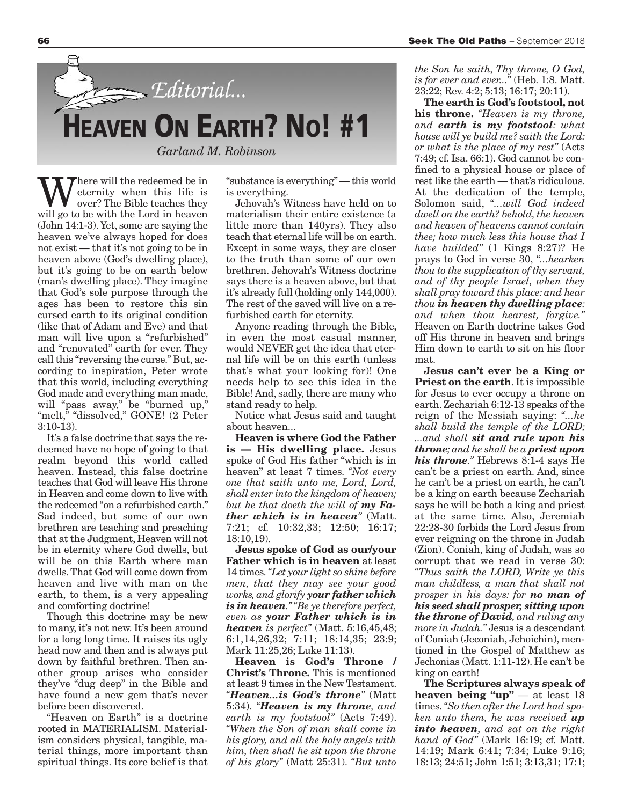

We ternity when this life is<br>wer? The Bible teaches they<br>will go to be with the Lord in begyon eternity when this life is over?The Bible teaches they will go to be with the Lord in heaven (John 14:1-3). Yet, some are saying the heaven we've always hoped for does not exist — that it's not going to be in heaven above (God's dwelling place), but it's going to be on earth below (man's dwelling place). They imagine that God's sole purpose through the ages has been to restore this sin cursed earth to its original condition (like that of Adam and Eve) and that man will live upon a "refurbished" and "renovated" earth for ever. They call this "reversing the curse." But, according to inspiration, Peter wrote that this world, including everything God made and everything man made, will "pass away," be "burned up," "melt," "dissolved," GONE! (2 Peter 3:10-13).

It's a false doctrine that says the redeemed have no hope of going to that realm beyond this world called heaven. Instead, this false doctrine teaches that God will leave His throne in Heaven and come down to live with the redeemed "on a refurbished earth." Sad indeed, but some of our own brethren are teaching and preaching that at the Judgment, Heaven will not be in eternity where God dwells, but will be on this Earth where man dwells. That God will come down from heaven and live with man on the earth, to them, is a very appealing and comforting doctrine!

Though this doctrine may be new to many, it's not new. It's been around for a long long time. It raises its ugly head now and then and is always put down by faithful brethren. Then another group arises who consider they've "dug deep" in the Bible and have found a new gem that's never before been discovered.

"Heaven on Earth" is a doctrine rooted in MATERIALISM. Materialism considers physical, tangible, material things, more important than spiritual things. Its core belief is that "substance is everything" — this world is everything.

Jehovah's Witness have held on to materialism their entire existence (a little more than 140yrs). They also teach that eternal life will be on earth. Except in some ways, they are closer to the truth than some of our own brethren. Jehovah's Witness doctrine says there is a heaven above, but that it's already full (holding only 144,000). The rest of the saved will live on a refurbished earth for eternity.

Anyone reading through the Bible, in even the most casual manner, would NEVER get the idea that eternal life will be on this earth (unless that's what your looking for)! One needs help to see this idea in the Bible! And, sadly, there are many who stand ready to help.

Notice what Jesus said and taught about heaven...

**Heaven is where God the Father is — His dwelling place.** Jesus spoke of God His father "which is in heaven" at least 7 times. *"Not every one that saith unto me, Lord, Lord, shall enter into the kingdom of heaven; but he that doeth the will of my Father which is in heaven"* (Matt. 7:21; cf. 10:32,33; 12:50; 16:17; 18:10,19).

**Jesus spoke of God as our/your Father which is in heaven** at least 14 times. *"Let your light so shine before men, that they may see your good works, and glorify your father which is in heaven." "Be ye therefore perfect, even as your Father which is in heaven is perfect"* (Matt. 5:16,45,48; 6:1,14,26,32; 7:11; 18:14,35; 23:9; Mark 11:25,26; Luke 11:13).

**Heaven is God's Throne / Christ's Throne.** This is mentioned at least 9 times in the New Testament. *"Heaven...is God's throne"* (Matt 5:34). *"Heaven is my throne, and earth is my footstool"* (Acts 7:49). *"When the Son of man shall come in his glory, and all the holy angels with him, then shall he sit upon the throne of his glory"* (Matt 25:31). *"But unto*

**The earth is God's footstool, not his throne.** *"Heaven is my throne, and earth is my footstool: what house will ye build me? saith the Lord: or what is the place of my rest"* (Acts 7:49; cf. Isa. 66:1). God cannot be confined to a physical house or place of rest like the earth — that's ridiculous. At the dedication of the temple, Solomon said, *"...will God indeed dwell on the earth? behold, the heaven and heaven of heavens cannot contain thee; how much less this house that I have builded"* (1 Kings 8:27)? He prays to God in verse 30, *"...hearken thou to the supplication of thy servant, and of thy people Israel, when they shall pray toward this place: and hear thou in heaven thy dwelling place: and when thou hearest, forgive."* Heaven on Earth doctrine takes God off His throne in heaven and brings Him down to earth to sit on his floor mat.

**Jesus can't ever be a King or Priest on the earth**. It is impossible for Jesus to ever occupy a throne on earth. Zechariah 6:12-13 speaks of the reign of the Messiah saying: *"...he shall build the temple of the LORD; ...and shall sit and rule upon his throne; and he shall be a priest upon his throne."* Hebrews 8:1-4 says He can't be a priest on earth. And, since he can't be a priest on earth, he can't be a king on earth because Zechariah says he will be both a king and priest at the same time. Also, Jeremiah 22:28-30 forbids the Lord Jesus from ever reigning on the throne in Judah (Zion). Coniah, king of Judah, was so corrupt that we read in verse 30: *"Thus saith the LORD, Write ye this man childless, a man that shall not prosper in his days: for no man of his seed shall prosper, sitting upon the throne of David, and ruling any more in Judah."* Jesus is a descendant of Coniah (Jeconiah, Jehoichin), mentioned in the Gospel of Matthew as Jechonias (Matt. 1:11-12). He can't be king on earth!

**The Scriptures always speak of heaven being "up"** — at least 18 times. *"So then after the Lord had spoken unto them, he was received up into heaven, and sat on the right hand of God"* (Mark 16:19; cf. Matt. 14:19; Mark 6:41; 7:34; Luke 9:16; 18:13; 24:51; John 1:51; 3:13,31; 17:1;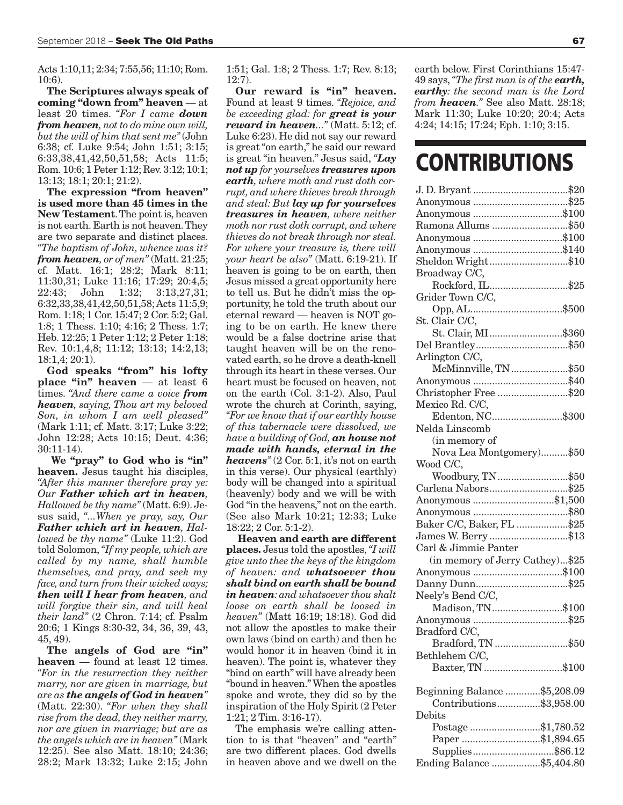Acts 1:10,11; 2:34; 7:55,56; 11:10; Rom. 10:6).

**The Scriptures always speak of coming "down from" heaven** — at least 20 times. *"For I came down from heaven, not to do mine own will, but the will of him that sent me"* (John 6:38; cf. Luke 9:54; John 1:51; 3:15; 6:33,38,41,42,50,51,58; Acts 11:5; Rom. 10:6; 1 Peter 1:12; Rev. 3:12; 10:1; 13:13; 18:1; 20:1; 21:2).

**The expression "from heaven" is used more than 45 times in the New Testament**. The point is, heaven is not earth. Earth is not heaven. They are two separate and distinct places. *"The baptism of John, whence was it? from heaven, or of men"* (Matt. 21:25; cf. Matt. 16:1; 28:2; Mark 8:11; 11:30,31; Luke 11:16; 17:29; 20:4,5; 22:43; John 1:32; 3:13,27,31; 6:32,33,38,41,42,50,51,58; Acts 11:5,9; Rom. 1:18; 1 Cor. 15:47; 2 Cor. 5:2; Gal. 1:8; 1 Thess. 1:10; 4:16; 2 Thess. 1:7; Heb. 12:25; 1 Peter 1:12; 2 Peter 1:18; Rev. 10:1,4,8; 11:12; 13:13; 14:2,13; 18:1,4; 20:1).

**God speaks "from" his lofty place "in" heaven** — at least 6 times. *"And there came a voice from heaven, saying, Thou art my beloved Son, in whom I am well pleased"* (Mark 1:11; cf. Matt. 3:17; Luke 3:22; John 12:28; Acts 10:15; Deut. 4:36; 30:11-14).

 **We "pray" to God who is "in" heaven.** Jesus taught his disciples, *"After this manner therefore pray ye: Our Father which art in heaven, Hallowed be thy name"* (Matt. 6:9). Jesus said, *"...When ye pray, say, Our Father which art in heaven, Hallowed be thy name"* (Luke 11:2). God told Solomon, *"If my people, which are called by my name, shall humble themselves, and pray, and seek my face, and turn from their wicked ways; then will I hear from heaven, and will forgive their sin, and will heal their land"* (2 Chron. 7:14; cf. Psalm 20:6; 1 Kings 8:30-32, 34, 36, 39, 43, 45, 49).

**The angels of God are "in" heaven** — found at least 12 times. *"For in the resurrection they neither marry, nor are given in marriage, but are as the angels of God in heaven"* (Matt. 22:30). *"For when they shall rise from the dead, they neither marry, nor are given in marriage; but are as the angels which are in heaven"* (Mark 12:25). See also Matt. 18:10; 24:36; 28:2; Mark 13:32; Luke 2:15; John

1:51; Gal. 1:8; 2 Thess. 1:7; Rev. 8:13; 12:7).

**Our reward is "in" heaven.** Found at least 9 times. *"Rejoice, and be exceeding glad: for great is your reward in heaven..."* (Matt. 5:12; cf. Luke 6:23). He did not say our reward is great "on earth," he said our reward is great "in heaven." Jesus said, *"Lay not up for yourselves treasures upon earth, where moth and rust doth corrupt, and where thieves break through and steal: But lay up for yourselves treasures in heaven, where neither moth nor rust doth corrupt, and where thieves do not break through nor steal. For where your treasure is, there will your heart be also"* (Matt. 6:19-21). If heaven is going to be on earth, then Jesus missed a great opportunity here to tell us. But he didn't miss the opportunity, he told the truth about our eternal reward — heaven is NOT going to be on earth. He knew there would be a false doctrine arise that taught heaven will be on the renovated earth, so he drove a death-knell through its heart in these verses. Our heart must be focused on heaven, not on the earth (Col. 3:1-2). Also, Paul wrote the church at Corinth, saying, *"For we know that if our earthly house of this tabernacle were dissolved, we have a building of God, an house not made with hands, eternal in the heavens"* (2 Cor. 5:1, it's not on earth in this verse). Our physical (earthly) body will be changed into a spiritual (heavenly) body and we will be with God "in the heavens," not on the earth. (See also Mark 10:21; 12:33; Luke 18:22; 2 Cor. 5:1-2).

 **Heaven and earth are different places.** Jesus told the apostles, *"I will give unto thee the keys of the kingdom of heaven: and whatsoever thou shalt bind on earth shall be bound in heaven: and whatsoever thou shalt loose on earth shall be loosed in heaven"* (Matt 16:19; 18:18). God did not allow the apostles to make their own laws (bind on earth) and then he would honor it in heaven (bind it in heaven). The point is, whatever they "bind on earth" will have already been "bound in heaven." When the apostles spoke and wrote, they did so by the inspiration of the Holy Spirit (2 Peter 1:21; 2 Tim. 3:16-17).

The emphasis we're calling attention to is that "heaven" and "earth" are two different places. God dwells in heaven above and we dwell on the

earth below. First Corinthians 15:47- 49 says, *"The first man is of the earth, earthy: the second man is the Lord from heaven."* See also Matt. 28:18; Mark 11:30; Luke 10:20; 20:4; Acts 4:24; 14:15; 17:24; Eph. 1:10; 3:15.

### **CONTRIBUTIONS**

| Anonymous \$100                                         |
|---------------------------------------------------------|
| Ramona Allums \$50                                      |
| Anonymous \$100                                         |
| Anonymous \$140                                         |
| Sheldon Wright\$10                                      |
| Broadway C/C,                                           |
| Rockford, IL\$25                                        |
| Grider Town C/C,                                        |
|                                                         |
| St. Clair C/C,                                          |
| St. Clair, MI\$360                                      |
|                                                         |
| Arlington C/C,                                          |
| McMinnville, TN \$50                                    |
|                                                         |
| Christopher Free \$20                                   |
| Mexico Rd. C/C,                                         |
| Edenton, NC\$300                                        |
| Nelda Linscomb                                          |
|                                                         |
| (in memory of<br>Nova Lea Montgomery)\$50               |
|                                                         |
| Wood C/C,                                               |
| Woodbury, TN\$50                                        |
| Carlena Nabors\$25                                      |
| Anonymous \$1,500                                       |
|                                                         |
| Baker C/C, Baker, FL \$25                               |
| James W. Berry \$13                                     |
| Carl & Jimmie Panter                                    |
| (in memory of Jerry Cathey)\$25                         |
| Anonymous \$100                                         |
|                                                         |
| Neely's Bend C/C,                                       |
| Madison, TN\$100                                        |
|                                                         |
| Bradford C/C,                                           |
| Bradford, TN \$50                                       |
| Bethlehem C/C,                                          |
| Baxter, TN \$100                                        |
|                                                         |
| Beginning Balance \$5,208.09<br>Contributions\$3,958.00 |
|                                                         |
| Debits                                                  |
| Postage\$1,780.52                                       |
| Paper \$1,894.65                                        |
| Supplies\$86.12                                         |
| Ending Balance \$5,404.80                               |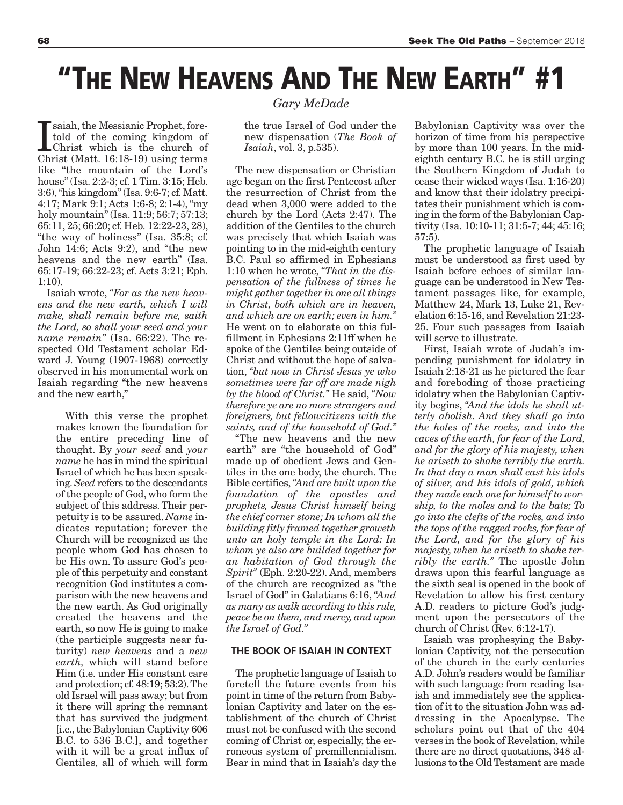## **"THE NEW HEAVENS AND THE NEW EARTH" #1**

I saiah, the Messianic Prophet, fore-<br>told of the coming kingdom of<br>Christ (Matt. 16:18-19) using terms saiah, the Messianic Prophet, foretold of the coming kingdom of Christ which is the church of like "the mountain of the Lord's house" (Isa. 2:2-3; cf. 1 Tim. 3:15; Heb. 3:6), "his kingdom" (Isa. 9:6-7; cf. Matt. 4:17; Mark 9:1; Acts 1:6-8; 2:1-4), "my holy mountain" (Isa. 11:9; 56:7; 57:13; 65:11, 25; 66:20; cf. Heb. 12:22-23, 28), "the way of holiness" (Isa. 35:8; cf. John 14:6; Acts 9:2), and "the new heavens and the new earth" (Isa. 65:17-19; 66:22-23; cf. Acts 3:21; Eph. 1:10).

Isaiah wrote, *"For as the new heavens and the new earth, which I will make, shall remain before me, saith the Lord, so shall your seed and your name remain"* (Isa. 66:22). The respected Old Testament scholar Edward J. Young (1907-1968) correctly observed in his monumental work on Isaiah regarding "the new heavens and the new earth,"

> With this verse the prophet makes known the foundation for the entire preceding line of thought. By *your seed* and *your name* he has in mind the spiritual Israel of which he has been speaking. *Seed* refers to the descendants of the people of God, who form the subject of this address. Their perpetuity is to be assured. *Name* indicates reputation; forever the Church will be recognized as the people whom God has chosen to be His own. To assure God's people of this perpetuity and constant recognition God institutes a comparison with the new heavens and the new earth. As God originally created the heavens and the earth, so now He is going to make (the participle suggests near futurity) *new heavens* and a *new earth,* which will stand before Him (i.e. under His constant care and protection; cf. 48:19; 53:2). The old Israel will pass away; but from it there will spring the remnant that has survived the judgment [i.e., the Babylonian Captivity 606 B.C. to 536 B.C.], and together with it will be a great influx of Gentiles, all of which will form

#### *Gary McDade*

the true Israel of God under the new dispensation (*The Book of Isaiah*, vol. 3, p.535).

The new dispensation or Christian age began on the first Pentecost after the resurrection of Christ from the dead when 3,000 were added to the church by the Lord (Acts 2:47). The addition of the Gentiles to the church was precisely that which Isaiah was pointing to in the mid-eighth century B.C. Paul so affirmed in Ephesians 1:10 when he wrote, *"That in the dispensation of the fullness of times he might gather together in one all things in Christ, both which are in heaven, and which are on earth; even in him."* He went on to elaborate on this fulfillment in Ephesians 2:11ff when he spoke of the Gentiles being outside of Christ and without the hope of salvation, *"but now in Christ Jesus ye who sometimes were far off are made nigh by the blood of Christ."* He said, *"Now therefore ye are no more strangers and foreigners, but fellowcitizens with the saints, and of the household of God."*

"The new heavens and the new earth" are "the household of God" made up of obedient Jews and Gentiles in the one body, the church. The Bible certifies, *"And are built upon the foundation of the apostles and prophets, Jesus Christ himself being the chief corner stone; In whom all the building fitly framed together groweth unto an holy temple in the Lord: In whom ye also are builded together for an habitation of God through the Spirit"* (Eph. 2:20-22). And, members of the church are recognized as "the Israel of God" in Galatians 6:16, *"And as many as walk according to this rule, peace be on them, and mercy, and upon the Israel of God."*

#### **THE BOOK OF ISAIAH IN CONTEXT**

The prophetic language of Isaiah to foretell the future events from his point in time of the return from Babylonian Captivity and later on the establishment of the church of Christ must not be confused with the second coming of Christ or, especially, the erroneous system of premillennialism. Bear in mind that in Isaiah's day the

Babylonian Captivity was over the horizon of time from his perspective by more than 100 years. In the mideighth century B.C. he is still urging the Southern Kingdom of Judah to cease their wicked ways (Isa. 1:16-20) and know that their idolatry precipitates their punishment which is coming in the form of the Babylonian Captivity (Isa. 10:10-11; 31:5-7; 44; 45:16; 57:5).

The prophetic language of Isaiah must be understood as first used by Isaiah before echoes of similar language can be understood in New Testament passages like, for example, Matthew 24, Mark 13, Luke 21, Revelation 6:15-16, and Revelation 21:23- 25. Four such passages from Isaiah will serve to illustrate.

First, Isaiah wrote of Judah's impending punishment for idolatry in Isaiah 2:18-21 as he pictured the fear and foreboding of those practicing idolatry when the Babylonian Captivity begins, *"And the idols he shall utterly abolish. And they shall go into the holes of the rocks, and into the caves of the earth, for fear of the Lord, and for the glory of his majesty, when he ariseth to shake terribly the earth. In that day a man shall cast his idols of silver, and his idols of gold, which they made each one for himself to worship, to the moles and to the bats; To go into the clefts of the rocks, and into the tops of the ragged rocks, for fear of the Lord, and for the glory of his majesty, when he ariseth to shake terribly the earth."* The apostle John draws upon this fearful language as the sixth seal is opened in the book of Revelation to allow his first century A.D. readers to picture God's judgment upon the persecutors of the church of Christ (Rev. 6:12-17).

Isaiah was prophesying the Babylonian Captivity, not the persecution of the church in the early centuries A.D. John's readers would be familiar with such language from reading Isaiah and immediately see the application of it to the situation John was addressing in the Apocalypse. The scholars point out that of the 404 verses in the book of Revelation, while there are no direct quotations, 348 allusions to the Old Testament are made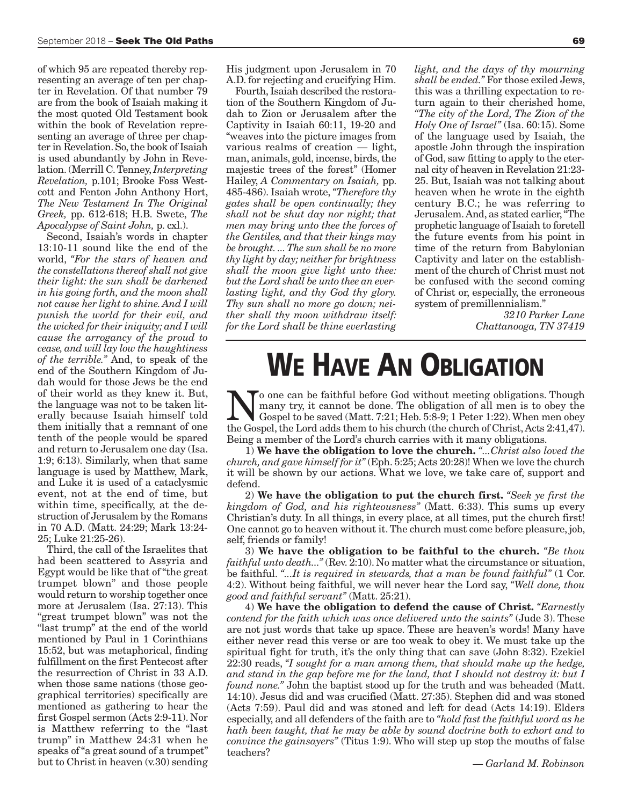of which 95 are repeated thereby representing an average of ten per chapter in Revelation. Of that number 79 are from the book of Isaiah making it the most quoted Old Testament book within the book of Revelation representing an average of three per chapter in Revelation. So, the book of Isaiah is used abundantly by John in Revelation. (Merrill C. Tenney, *Interpreting Revelation,* p.101; Brooke Foss Westcott and Fenton John Anthony Hort, *The New Testament In The Original Greek,* pp. 612-618; H.B. Swete, *The Apocalypse of Saint John,* p. cxl.).

Second, Isaiah's words in chapter 13:10-11 sound like the end of the world, *"For the stars of heaven and the constellations thereof shall not give their light: the sun shall be darkened in his going forth, and the moon shall not cause her light to shine. And I will punish the world for their evil, and the wicked for their iniquity; and I will cause the arrogancy of the proud to cease, and will lay low the haughtiness of the terrible."* And, to speak of the end of the Southern Kingdom of Judah would for those Jews be the end of their world as they knew it. But, the language was not to be taken literally because Isaiah himself told them initially that a remnant of one tenth of the people would be spared and return to Jerusalem one day (Isa. 1:9; 6:13). Similarly, when that same language is used by Matthew, Mark, and Luke it is used of a cataclysmic event, not at the end of time, but within time, specifically, at the destruction of Jerusalem by the Romans in 70 A.D. (Matt. 24:29; Mark 13:24- 25; Luke 21:25-26).

Third, the call of the Israelites that had been scattered to Assyria and Egypt would be like that of "the great trumpet blown" and those people would return to worship together once more at Jerusalem (Isa. 27:13). This "great trumpet blown" was not the "last trump" at the end of the world mentioned by Paul in 1 Corinthians 15:52, but was metaphorical, finding fulfillment on the first Pentecost after the resurrection of Christ in 33 A.D. when those same nations (those geographical territories) specifically are mentioned as gathering to hear the first Gospel sermon (Acts 2:9-11). Nor is Matthew referring to the "last trump" in Matthew 24:31 when he speaks of "a great sound of a trumpet" but to Christ in heaven (v.30) sending His judgment upon Jerusalem in 70 A.D. for rejecting and crucifying Him.

Fourth, Isaiah described the restoration of the Southern Kingdom of Judah to Zion or Jerusalem after the Captivity in Isaiah 60:11, 19-20 and "weaves into the picture images from various realms of creation — light, man, animals, gold, incense, birds, the majestic trees of the forest" (Homer Hailey, *A Commentary on Isaiah,* pp. 485-486). Isaiah wrote, *"Therefore thy gates shall be open continually; they shall not be shut day nor night; that men may bring unto thee the forces of the Gentiles, and that their kings may be brought. ... The sun shall be no more thy light by day; neither for brightness shall the moon give light unto thee: but the Lord shall be unto thee an everlasting light, and thy God thy glory. Thy sun shall no more go down; neither shall thy moon withdraw itself: for the Lord shall be thine everlasting*

*light, and the days of thy mourning shall be ended."* For those exiled Jews, this was a thrilling expectation to return again to their cherished home, *"The city of the Lord, The Zion of the Holy One of Israel"* (Isa. 60:15). Some of the language used by Isaiah, the apostle John through the inspiration of God, saw fitting to apply to the eternal city of heaven in Revelation 21:23- 25. But, Isaiah was not talking about heaven when he wrote in the eighth century B.C.; he was referring to Jerusalem. And, as stated earlier, "The prophetic language of Isaiah to foretell the future events from his point in time of the return from Babylonian Captivity and later on the establishment of the church of Christ must not be confused with the second coming of Christ or, especially, the erroneous system of premillennialism."

> *3210 Parker Lane Chattanooga, TN 37419*

### **WE HAVE AN OBLIGATION**

No one can be faithful before God without meeting obligations. Though<br>
many try, it cannot be done. The obligation of all men is to obey the<br>
Gospel to be saved (Matt. 7:21; Heb. 5:8-9; 1 Peter 1:22). When men obey<br>
the Go many try, it cannot be done. The obligation of all men is to obey the the Gospel, the Lord adds them to his church (the church of Christ, Acts 2:41,47). Being a member of the Lord's church carries with it many obligations.

1) **We have the obligation to love the church.** *"...Christ also loved the church, and gave himself for it"* (Eph. 5:25; Acts 20:28)! When we love the church it will be shown by our actions. What we love, we take care of, support and defend.

2) **We have the obligation to put the church first.** *"Seek ye first the kingdom of God, and his righteousness"* (Matt. 6:33). This sums up every Christian's duty. In all things, in every place, at all times, put the church first! One cannot go to heaven without it. The church must come before pleasure, job, self, friends or family!

3) **We have the obligation to be faithful to the church.** *"Be thou faithful unto death...*" (Rev. 2:10). No matter what the circumstance or situation, be faithful. *"...It is required in stewards, that a man be found faithful"* (1 Cor. 4:2). Without being faithful, we will never hear the Lord say, *"Well done, thou good and faithful servant"* (Matt. 25:21).

4) **We have the obligation to defend the cause of Christ.** *"Earnestly contend for the faith which was once delivered unto the saints"* (Jude 3). These are not just words that take up space. These are heaven's words! Many have either never read this verse or are too weak to obey it. We must take up the spiritual fight for truth, it's the only thing that can save (John 8:32). Ezekiel 22:30 reads, *"I sought for a man among them, that should make up the hedge, and stand in the gap before me for the land, that I should not destroy it: but I found none."* John the baptist stood up for the truth and was beheaded (Matt. 14:10). Jesus did and was crucified (Matt. 27:35). Stephen did and was stoned (Acts 7:59). Paul did and was stoned and left for dead (Acts 14:19). Elders especially, and all defenders of the faith are to *"hold fast the faithful word as he hath been taught, that he may be able by sound doctrine both to exhort and to convince the gainsayers"* (Titus 1:9). Who will step up stop the mouths of false teachers?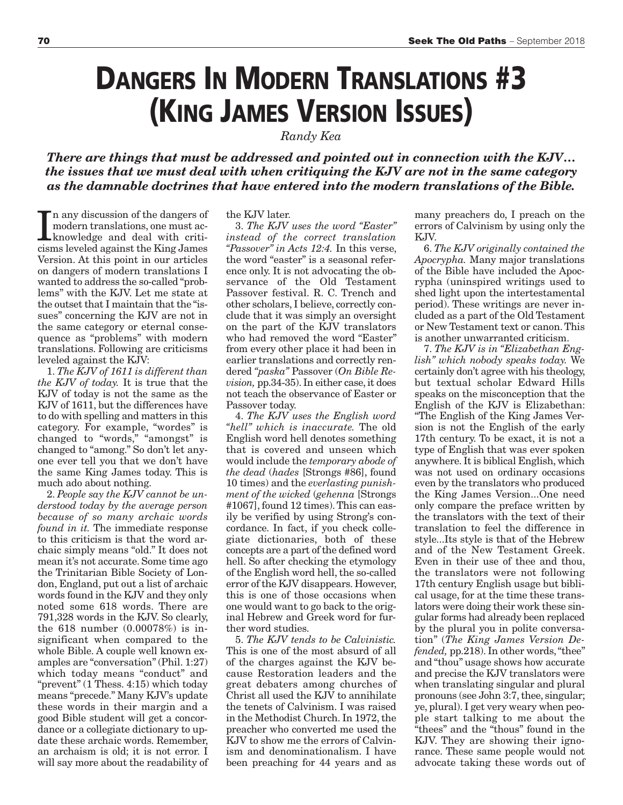### **DANGERS IN MODERN TRANSLATIONS #3 (KING JAMES VERSION ISSUES)**

*Randy Kea* 

*There are things that must be addressed and pointed out in connection with the KJV… the issues that we must deal with when critiquing the KJV are not in the same category as the damnable doctrines that have entered into the modern translations of the Bible.*

In any discussion of the dangers of<br>modern translations, one must ac-<br>knowledge and deal with criti-<br>cisms leveled against the King James n any discussion of the dangers of modern translations, one must acknowledge and deal with criti-Version. At this point in our articles on dangers of modern translations I wanted to address the so-called "problems" with the KJV. Let me state at the outset that I maintain that the "issues" concerning the KJV are not in the same category or eternal consequence as "problems" with modern translations. Following are criticisms leveled against the KJV:

1. *The KJV of 1611 is different than the KJV of today.* It is true that the KJV of today is not the same as the KJV of 1611, but the differences have to do with spelling and matters in this category. For example, "wordes" is changed to "words," "amongst" is changed to "among." So don't let anyone ever tell you that we don't have the same King James today. This is much ado about nothing.

2. *People say the KJV cannot be understood today by the average person because of so many archaic words found in it.* The immediate response to this criticism is that the word archaic simply means "old." It does not mean it's not accurate. Some time ago the Trinitarian Bible Society of London, England, put out a list of archaic words found in the KJV and they only noted some 618 words. There are 791,328 words in the KJV. So clearly, the 618 number (0.00078%) is insignificant when compared to the whole Bible. A couple well known examples are "conversation" (Phil. 1:27) which today means "conduct" and "prevent" (1 Thess. 4:15) which today means "precede." Many KJV's update these words in their margin and a good Bible student will get a concordance or a collegiate dictionary to update these archaic words. Remember, an archaism is old; it is not error. I will say more about the readability of

#### the KJV later.

3. *The KJV uses the word "Easter" instead of the correct translation "Passover" in Acts 12:4.* In this verse, the word "easter" is a seasonal reference only. It is not advocating the observance of the Old Testament Passover festival. R. C. Trench and other scholars, I believe, correctly conclude that it was simply an oversight on the part of the KJV translators who had removed the word "Easter" from every other place it had been in earlier translations and correctly rendered *"paska"* Passover (*On Bible Revision,* pp.34-35). In either case, it does not teach the observance of Easter or Passover today.

4. *The KJV uses the English word "hell" which is inaccurate.* The old English word hell denotes something that is covered and unseen which would include the *temporary abode of the dead* (*hades* [Strongs #86], found 10 times) and the *everlasting punishment of the wicked* (*gehenna* [Strongs #1067], found 12 times). This can easily be verified by using Strong's concordance. In fact, if you check collegiate dictionaries, both of these concepts are a part of the defined word hell. So after checking the etymology of the English word hell, the so-called error of the KJV disappears. However, this is one of those occasions when one would want to go back to the original Hebrew and Greek word for further word studies.

5. *The KJV tends to be Calvinistic.* This is one of the most absurd of all of the charges against the KJV because Restoration leaders and the great debaters among churches of Christ all used the KJV to annihilate the tenets of Calvinism. I was raised in the Methodist Church. In 1972, the preacher who converted me used the KJV to show me the errors of Calvinism and denominationalism. I have been preaching for 44 years and as

many preachers do, I preach on the errors of Calvinism by using only the KJV.

6. *The KJV originally contained the Apocrypha.* Many major translations of the Bible have included the Apocrypha (uninspired writings used to shed light upon the intertestamental period). These writings are never included as a part of the Old Testament or New Testament text or canon. This is another unwarranted criticism.

7. *The KJV is in "Elizabethan English" which nobody speaks today.* We certainly don't agree with his theology, but textual scholar Edward Hills speaks on the misconception that the English of the KJV is Elizabethan: "The English of the King James Version is not the English of the early 17th century. To be exact, it is not a type of English that was ever spoken anywhere. It is biblical English, which was not used on ordinary occasions even by the translators who produced the King James Version...One need only compare the preface written by the translators with the text of their translation to feel the difference in style...Its style is that of the Hebrew and of the New Testament Greek. Even in their use of thee and thou, the translators were not following 17th century English usage but biblical usage, for at the time these translators were doing their work these singular forms had already been replaced by the plural you in polite conversation" (*The King James Version Defended,* pp.218). In other words, "thee" and "thou" usage shows how accurate and precise the KJV translators were when translating singular and plural pronouns (see John 3:7, thee, singular; ye, plural). I get very weary when people start talking to me about the "thees" and the "thous" found in the KJV. They are showing their ignorance. These same people would not advocate taking these words out of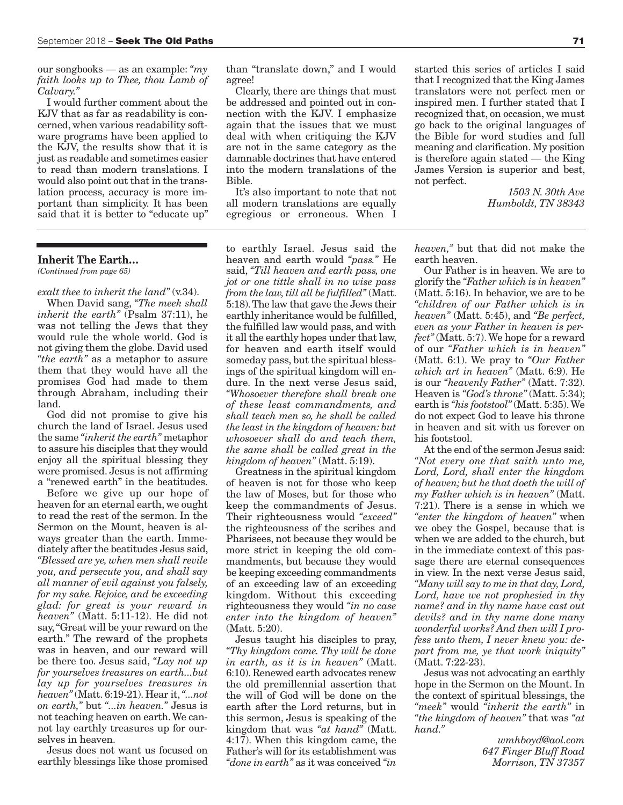our songbooks — as an example: *"my faith looks up to Thee, thou Lamb of Calvary."*

I would further comment about the KJV that as far as readability is concerned, when various readability software programs have been applied to the KJV, the results show that it is just as readable and sometimes easier to read than modern translations. I would also point out that in the translation process, accuracy is more important than simplicity. It has been said that it is better to "educate up"

#### **Inherit The Earth…**

*(Continued from page 65)*

*exalt thee to inherit the land"* (v.34).

When David sang, *"The meek shall inherit the earth"* (Psalm 37:11), he was not telling the Jews that they would rule the whole world. God is not giving them the globe. David used *"the earth"* as a metaphor to assure them that they would have all the promises God had made to them through Abraham, including their land.

God did not promise to give his church the land of Israel. Jesus used the same *"inherit the earth"* metaphor to assure his disciples that they would enjoy all the spiritual blessing they were promised. Jesus is not affirming a "renewed earth" in the beatitudes.

Before we give up our hope of heaven for an eternal earth, we ought to read the rest of the sermon. In the Sermon on the Mount, heaven is always greater than the earth. Immediately after the beatitudes Jesus said, *"Blessed are ye, when men shall revile you, and persecute you, and shall say all manner of evil against you falsely, for my sake. Rejoice, and be exceeding glad: for great is your reward in heaven"* (Matt. 5:11-12). He did not say, "Great will be your reward on the earth." The reward of the prophets was in heaven, and our reward will be there too. Jesus said, *"Lay not up for yourselves treasures on earth...but lay up for yourselves treasures in heaven"* (Matt. 6:19-21). Hear it, *"...not on earth,"* but *"...in heaven."* Jesus is not teaching heaven on earth. We cannot lay earthly treasures up for ourselves in heaven.

Jesus does not want us focused on earthly blessings like those promised than "translate down," and I would agree!

Clearly, there are things that must be addressed and pointed out in connection with the KJV. I emphasize again that the issues that we must deal with when critiquing the KJV are not in the same category as the damnable doctrines that have entered into the modern translations of the Bible.

It's also important to note that not all modern translations are equally egregious or erroneous. When I

to earthly Israel. Jesus said the heaven and earth would *"pass."* He said, *"Till heaven and earth pass, one jot or one tittle shall in no wise pass from the law, till all be fulfilled"* (Matt. 5:18). The law that gave the Jews their earthly inheritance would be fulfilled, the fulfilled law would pass, and with it all the earthly hopes under that law, for heaven and earth itself would someday pass, but the spiritual blessings of the spiritual kingdom will endure. In the next verse Jesus said, *"Whosoever therefore shall break one of these least commandments, and shall teach men so, he shall be called the least in the kingdom of heaven: but whosoever shall do and teach them, the same shall be called great in the kingdom of heaven"* (Matt. 5:19).

Greatness in the spiritual kingdom of heaven is not for those who keep the law of Moses, but for those who keep the commandments of Jesus. Their righteousness would *"exceed"* the righteousness of the scribes and Pharisees, not because they would be more strict in keeping the old commandments, but because they would be keeping exceeding commandments of an exceeding law of an exceeding kingdom. Without this exceeding righteousness they would *"in no case enter into the kingdom of heaven"* (Matt. 5:20).

Jesus taught his disciples to pray, *"Thy kingdom come. Thy will be done in earth, as it is in heaven"* (Matt. 6:10). Renewed earth advocates renew the old premillennial assertion that the will of God will be done on the earth after the Lord returns, but in this sermon, Jesus is speaking of the kingdom that was *"at hand"* (Matt. 4:17). When this kingdom came, the Father's will for its establishment was *"done in earth"* as it was conceived *"in*

started this series of articles I said that I recognized that the King James translators were not perfect men or inspired men. I further stated that I recognized that, on occasion, we must go back to the original languages of the Bible for word studies and full meaning and clarification. My position is therefore again stated — the King James Version is superior and best, not perfect.

> *1503 N. 30th Ave Humboldt, TN 38343*

*heaven,"* but that did not make the earth heaven.

Our Father is in heaven. We are to glorify the *"Father which is in heaven"* (Matt. 5:16). In behavior, we are to be *"children of our Father which is in heaven"* (Matt. 5:45), and *"Be perfect, even as your Father in heaven is perfect"* (Matt. 5:7). We hope for a reward of our *"Father which is in heaven"* (Matt. 6:1). We pray to *"Our Father which art in heaven"* (Matt. 6:9). He is our *"heavenly Father"* (Matt. 7:32). Heaven is *"God's throne"* (Matt. 5:34); earth is *"his footstool"* (Matt. 5:35). We do not expect God to leave his throne in heaven and sit with us forever on his footstool.

At the end of the sermon Jesus said: *"Not every one that saith unto me, Lord, Lord, shall enter the kingdom of heaven; but he that doeth the will of my Father which is in heaven"* (Matt. 7:21). There is a sense in which we *"enter the kingdom of heaven"* when we obey the Gospel, because that is when we are added to the church, but in the immediate context of this passage there are eternal consequences in view. In the next verse Jesus said, *"Many will say to me in that day, Lord, Lord, have we not prophesied in thy name? and in thy name have cast out devils? and in thy name done many wonderful works? And then will I profess unto them, I never knew you: depart from me, ye that work iniquity"* (Matt. 7:22-23).

Jesus was not advocating an earthly hope in the Sermon on the Mount. In the context of spiritual blessings, the *"meek"* would *"inherit the earth"* in *"the kingdom of heaven"* that was *"at hand."*

> *wmhboyd@aol.com 647 Finger Bluff Road Morrison, TN 37357*